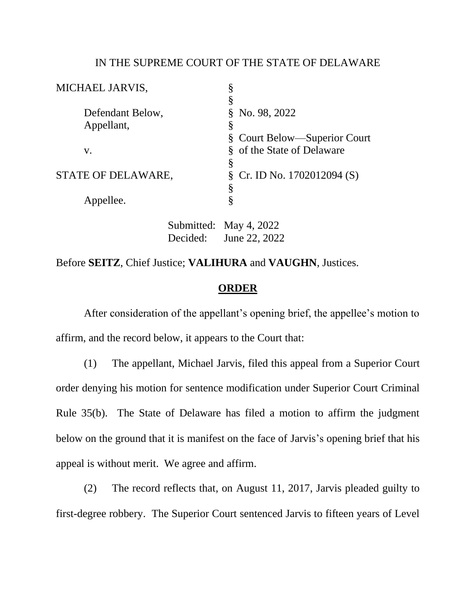## IN THE SUPREME COURT OF THE STATE OF DELAWARE

| MICHAEL JARVIS,    |          |                            |                                |
|--------------------|----------|----------------------------|--------------------------------|
|                    |          | §                          |                                |
| Defendant Below,   |          | No. 98, 2022<br>8          |                                |
| Appellant,         |          | §                          |                                |
|                    |          |                            | § Court Below—Superior Court   |
| V.                 |          | § of the State of Delaware |                                |
|                    |          | §                          |                                |
| STATE OF DELAWARE, |          |                            | $\S$ Cr. ID No. 1702012094 (S) |
|                    |          | §                          |                                |
| Appellee.          |          | §                          |                                |
|                    |          |                            |                                |
|                    |          | Submitted: May 4, 2022     |                                |
|                    | Decided: | June 22, 2022              |                                |

Before **SEITZ**, Chief Justice; **VALIHURA** and **VAUGHN**, Justices.

## **ORDER**

After consideration of the appellant's opening brief, the appellee's motion to affirm, and the record below, it appears to the Court that:

(1) The appellant, Michael Jarvis, filed this appeal from a Superior Court order denying his motion for sentence modification under Superior Court Criminal Rule 35(b). The State of Delaware has filed a motion to affirm the judgment below on the ground that it is manifest on the face of Jarvis's opening brief that his appeal is without merit. We agree and affirm.

(2) The record reflects that, on August 11, 2017, Jarvis pleaded guilty to first-degree robbery. The Superior Court sentenced Jarvis to fifteen years of Level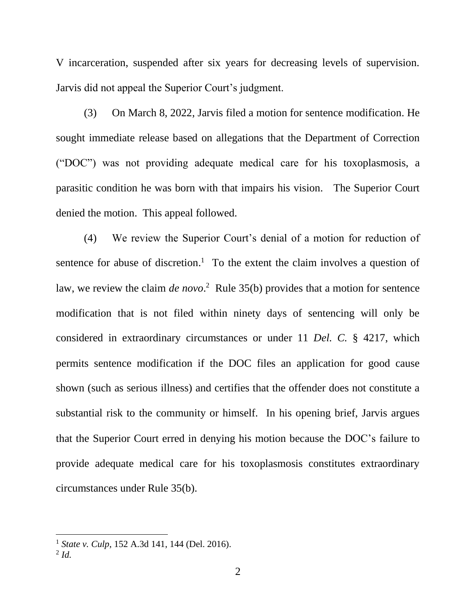V incarceration, suspended after six years for decreasing levels of supervision. Jarvis did not appeal the Superior Court's judgment.

(3) On March 8, 2022, Jarvis filed a motion for sentence modification. He sought immediate release based on allegations that the Department of Correction ("DOC") was not providing adequate medical care for his toxoplasmosis, a parasitic condition he was born with that impairs his vision. The Superior Court denied the motion. This appeal followed.

(4) We review the Superior Court's denial of a motion for reduction of sentence for abuse of discretion.<sup>1</sup> To the extent the claim involves a question of law, we review the claim *de novo*.<sup>2</sup> Rule 35(b) provides that a motion for sentence modification that is not filed within ninety days of sentencing will only be considered in extraordinary circumstances or under 11 *Del. C.* § 4217, which permits sentence modification if the DOC files an application for good cause shown (such as serious illness) and certifies that the offender does not constitute a substantial risk to the community or himself. In his opening brief, Jarvis argues that the Superior Court erred in denying his motion because the DOC's failure to provide adequate medical care for his toxoplasmosis constitutes extraordinary circumstances under Rule 35(b).

<sup>1</sup> *State v. Culp*, 152 A.3d 141, 144 (Del. 2016).

<sup>2</sup> *Id.*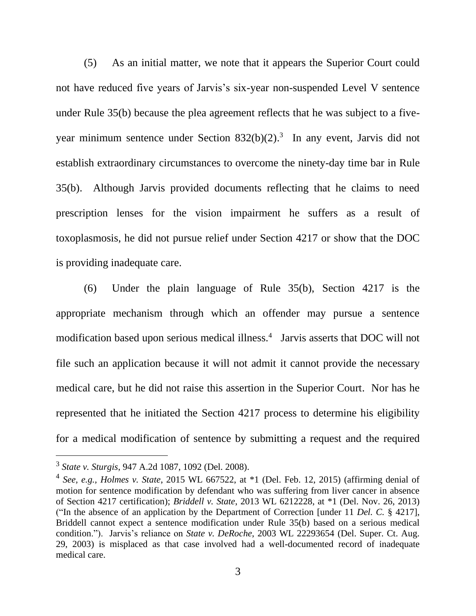(5) As an initial matter, we note that it appears the Superior Court could not have reduced five years of Jarvis's six-year non-suspended Level V sentence under Rule 35(b) because the plea agreement reflects that he was subject to a fiveyear minimum sentence under Section  $832(b)(2)$ .<sup>3</sup> In any event, Jarvis did not establish extraordinary circumstances to overcome the ninety-day time bar in Rule 35(b). Although Jarvis provided documents reflecting that he claims to need prescription lenses for the vision impairment he suffers as a result of toxoplasmosis, he did not pursue relief under Section 4217 or show that the DOC is providing inadequate care.

(6) Under the plain language of Rule 35(b), Section 4217 is the appropriate mechanism through which an offender may pursue a sentence modification based upon serious medical illness.<sup>4</sup> Jarvis asserts that DOC will not file such an application because it will not admit it cannot provide the necessary medical care, but he did not raise this assertion in the Superior Court. Nor has he represented that he initiated the Section 4217 process to determine his eligibility for a medical modification of sentence by submitting a request and the required

<sup>3</sup> *State v. Sturgis*, 947 A.2d 1087, 1092 (Del. 2008).

<sup>4</sup> *See, e.g., Holmes v. State*, 2015 WL 667522, at \*1 (Del. Feb. 12, 2015) (affirming denial of motion for sentence modification by defendant who was suffering from liver cancer in absence of Section 4217 certification); *Briddell v. State*, 2013 WL 6212228, at \*1 (Del. Nov. 26, 2013) ("In the absence of an application by the Department of Correction [under 11 *Del. C.* § 4217], Briddell cannot expect a sentence modification under Rule 35(b) based on a serious medical condition."). Jarvis's reliance on *State v. DeRoche*, 2003 WL 22293654 (Del. Super. Ct. Aug. 29, 2003) is misplaced as that case involved had a well-documented record of inadequate medical care.